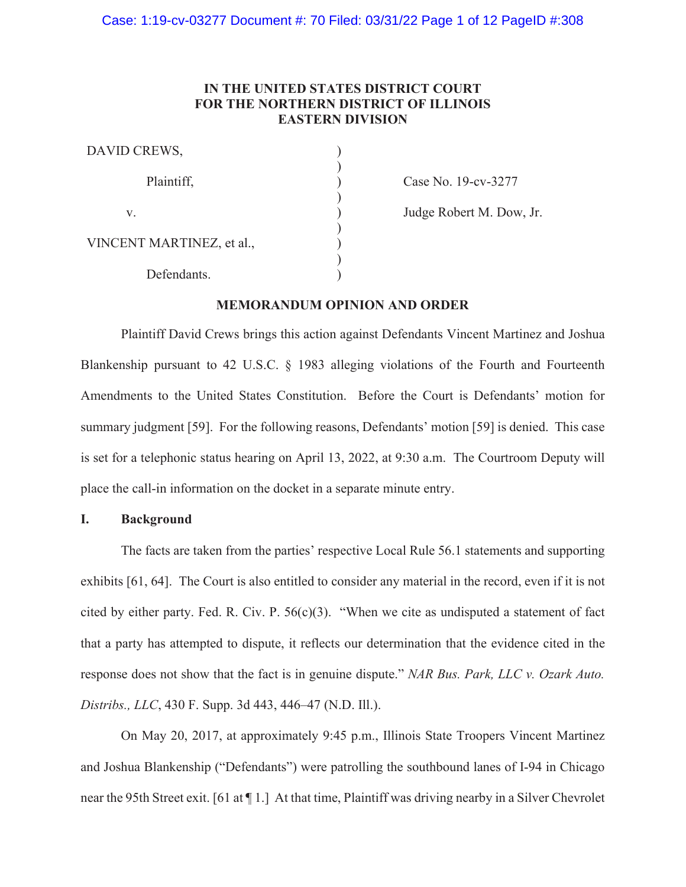# **IN THE UNITED STATES DISTRICT COURT FOR THE NORTHERN DISTRICT OF ILLINOIS EASTERN DIVISION**

| DAVID CREWS,              |  |
|---------------------------|--|
| Plaintiff,                |  |
| V.                        |  |
| VINCENT MARTINEZ, et al., |  |
| Defendants.               |  |

Case No. 19-cv-3277

Judge Robert M. Dow, Jr.

# **MEMORANDUM OPINION AND ORDER**

 Plaintiff David Crews brings this action against Defendants Vincent Martinez and Joshua Blankenship pursuant to 42 U.S.C. § 1983 alleging violations of the Fourth and Fourteenth Amendments to the United States Constitution. Before the Court is Defendants' motion for summary judgment [59]. For the following reasons, Defendants' motion [59] is denied. This case is set for a telephonic status hearing on April 13, 2022, at 9:30 a.m. The Courtroom Deputy will place the call-in information on the docket in a separate minute entry.

## **I. Background**

The facts are taken from the parties' respective Local Rule 56.1 statements and supporting exhibits [61, 64]. The Court is also entitled to consider any material in the record, even if it is not cited by either party. Fed. R. Civ. P. 56(c)(3). "When we cite as undisputed a statement of fact that a party has attempted to dispute, it reflects our determination that the evidence cited in the response does not show that the fact is in genuine dispute." *NAR Bus. Park, LLC v. Ozark Auto. Distribs., LLC*, 430 F. Supp. 3d 443, 446–47 (N.D. Ill.).

On May 20, 2017, at approximately 9:45 p.m., Illinois State Troopers Vincent Martinez and Joshua Blankenship ("Defendants") were patrolling the southbound lanes of I-94 in Chicago near the 95th Street exit. [61 at ¶ 1.] At that time, Plaintiff was driving nearby in a Silver Chevrolet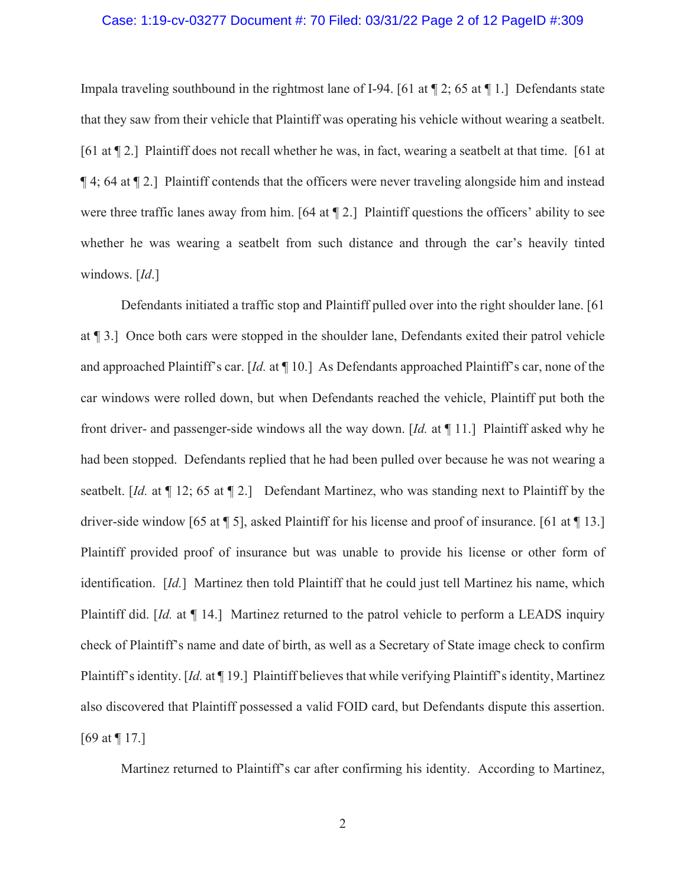#### Case: 1:19-cv-03277 Document #: 70 Filed: 03/31/22 Page 2 of 12 PageID #:309

Impala traveling southbound in the rightmost lane of I-94. [61 at  $\P$  2; 65 at  $\P$  1.] Defendants state that they saw from their vehicle that Plaintiff was operating his vehicle without wearing a seatbelt. [61 at ¶ 2.] Plaintiff does not recall whether he was, in fact, wearing a seatbelt at that time. [61 at ¶ 4; 64 at ¶ 2.] Plaintiff contends that the officers were never traveling alongside him and instead were three traffic lanes away from him. [64 at ¶ 2.] Plaintiff questions the officers' ability to see whether he was wearing a seatbelt from such distance and through the car's heavily tinted windows. [*Id*.]

Defendants initiated a traffic stop and Plaintiff pulled over into the right shoulder lane. [61 at ¶ 3.] Once both cars were stopped in the shoulder lane, Defendants exited their patrol vehicle and approached Plaintiff's car. [*Id.* at ¶ 10.] As Defendants approached Plaintiff's car, none of the car windows were rolled down, but when Defendants reached the vehicle, Plaintiff put both the front driver- and passenger-side windows all the way down. [*Id.* at ¶ 11.] Plaintiff asked why he had been stopped. Defendants replied that he had been pulled over because he was not wearing a seatbelt. [*Id.* at ¶ 12; 65 at ¶ 2.] Defendant Martinez, who was standing next to Plaintiff by the driver-side window [65 at ¶ 5], asked Plaintiff for his license and proof of insurance. [61 at ¶ 13.] Plaintiff provided proof of insurance but was unable to provide his license or other form of identification. [*Id.*] Martinez then told Plaintiff that he could just tell Martinez his name, which Plaintiff did. [*Id.* at ¶ 14.] Martinez returned to the patrol vehicle to perform a LEADS inquiry check of Plaintiff's name and date of birth, as well as a Secretary of State image check to confirm Plaintiff's identity. [*Id.* at ¶ 19.] Plaintiff believes that while verifying Plaintiff's identity, Martinez also discovered that Plaintiff possessed a valid FOID card, but Defendants dispute this assertion. [69 at ¶ 17.]

Martinez returned to Plaintiff's car after confirming his identity. According to Martinez,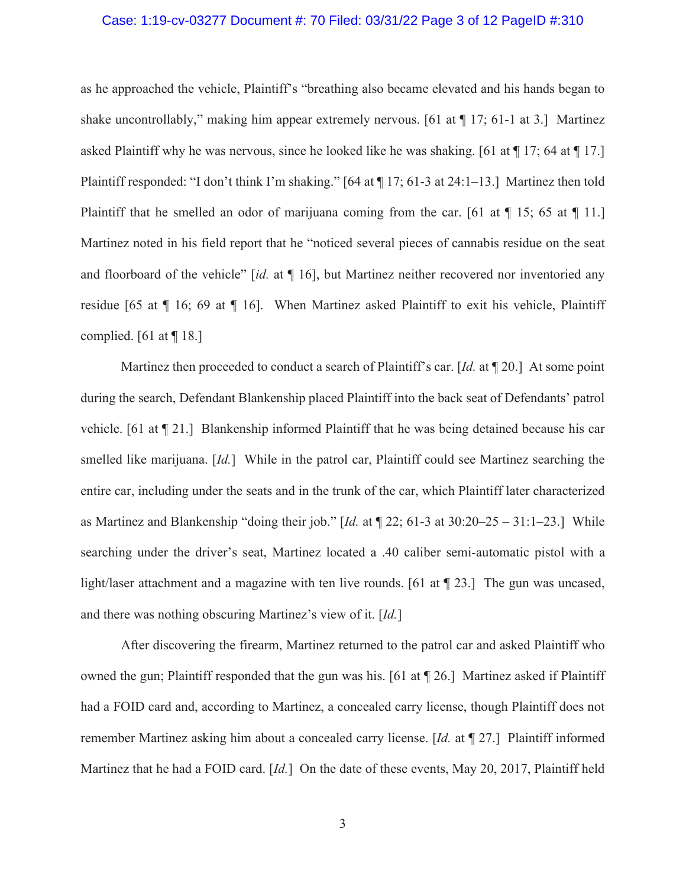#### Case: 1:19-cv-03277 Document #: 70 Filed: 03/31/22 Page 3 of 12 PageID #:310

as he approached the vehicle, Plaintiff's "breathing also became elevated and his hands began to shake uncontrollably," making him appear extremely nervous. [61 at  $\P$  17; 61-1 at 3.] Martinez asked Plaintiff why he was nervous, since he looked like he was shaking. [61 at ¶ 17; 64 at ¶ 17.] Plaintiff responded: "I don't think I'm shaking." [64 at ¶ 17; 61-3 at 24:1–13.] Martinez then told Plaintiff that he smelled an odor of marijuana coming from the car. [61 at  $\P$  15; 65 at  $\P$  11.] Martinez noted in his field report that he "noticed several pieces of cannabis residue on the seat and floorboard of the vehicle" [*id.* at ¶ 16], but Martinez neither recovered nor inventoried any residue [65 at ¶ 16; 69 at ¶ 16]. When Martinez asked Plaintiff to exit his vehicle, Plaintiff complied. [61 at  $\P$  18.]

Martinez then proceeded to conduct a search of Plaintiff's car. [*Id.* at ¶ 20.] At some point during the search, Defendant Blankenship placed Plaintiff into the back seat of Defendants' patrol vehicle. [61 at ¶ 21.] Blankenship informed Plaintiff that he was being detained because his car smelled like marijuana. [*Id.*] While in the patrol car, Plaintiff could see Martinez searching the entire car, including under the seats and in the trunk of the car, which Plaintiff later characterized as Martinez and Blankenship "doing their job." [*Id.* at ¶ 22; 61-3 at 30:20–25 – 31:1–23.] While searching under the driver's seat, Martinez located a .40 caliber semi-automatic pistol with a light/laser attachment and a magazine with ten live rounds. [61 at ¶ 23.] The gun was uncased, and there was nothing obscuring Martinez's view of it. [*Id.*]

 After discovering the firearm, Martinez returned to the patrol car and asked Plaintiff who owned the gun; Plaintiff responded that the gun was his. [61 at ¶ 26.] Martinez asked if Plaintiff had a FOID card and, according to Martinez, a concealed carry license, though Plaintiff does not remember Martinez asking him about a concealed carry license. [*Id.* at ¶ 27.] Plaintiff informed Martinez that he had a FOID card. [*Id.*] On the date of these events, May 20, 2017, Plaintiff held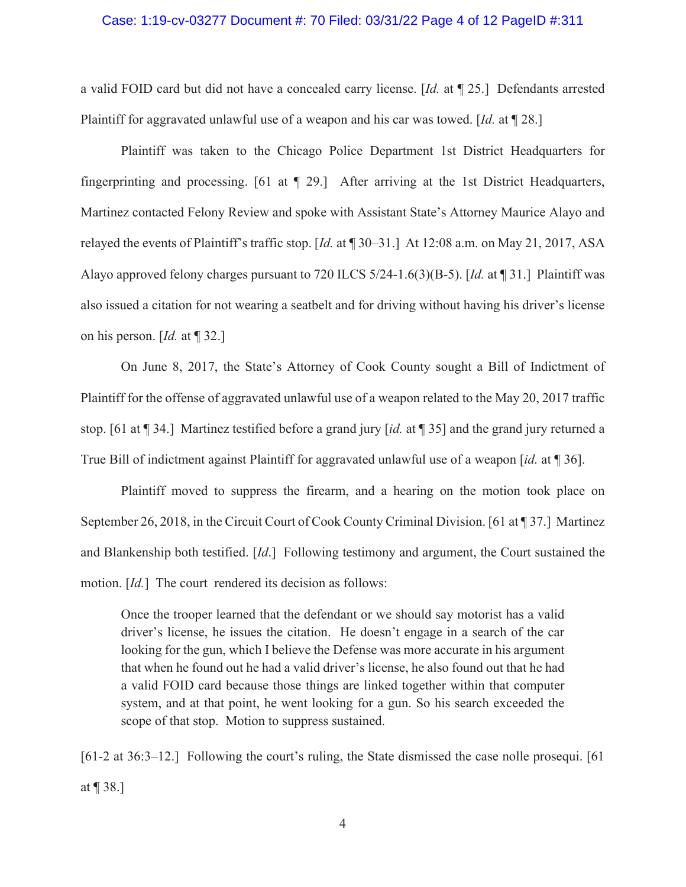#### Case: 1:19-cv-03277 Document #: 70 Filed: 03/31/22 Page 4 of 12 PageID #:311

a valid FOID card but did not have a concealed carry license. [*Id.* at ¶ 25.] Defendants arrested Plaintiff for aggravated unlawful use of a weapon and his car was towed. [*Id.* at ¶ 28.]

 Plaintiff was taken to the Chicago Police Department 1st District Headquarters for fingerprinting and processing. [61 at ¶ 29.] After arriving at the 1st District Headquarters, Martinez contacted Felony Review and spoke with Assistant State's Attorney Maurice Alayo and relayed the events of Plaintiff's traffic stop. [*Id.* at ¶ 30–31.] At 12:08 a.m. on May 21, 2017, ASA Alayo approved felony charges pursuant to 720 ILCS 5/24-1.6(3)(B-5). [*Id.* at ¶ 31.] Plaintiff was also issued a citation for not wearing a seatbelt and for driving without having his driver's license on his person. [*Id.* at ¶ 32.]

On June 8, 2017, the State's Attorney of Cook County sought a Bill of Indictment of Plaintiff for the offense of aggravated unlawful use of a weapon related to the May 20, 2017 traffic stop. [61 at ¶ 34.] Martinez testified before a grand jury [*id.* at ¶ 35] and the grand jury returned a True Bill of indictment against Plaintiff for aggravated unlawful use of a weapon [*id.* at ¶ 36].

 Plaintiff moved to suppress the firearm, and a hearing on the motion took place on September 26, 2018, in the Circuit Court of Cook County Criminal Division. [61 at ¶ 37.] Martinez and Blankenship both testified. [*Id*.] Following testimony and argument, the Court sustained the motion. [*Id.*] The court rendered its decision as follows:

Once the trooper learned that the defendant or we should say motorist has a valid driver's license, he issues the citation. He doesn't engage in a search of the car looking for the gun, which I believe the Defense was more accurate in his argument that when he found out he had a valid driver's license, he also found out that he had a valid FOID card because those things are linked together within that computer system, and at that point, he went looking for a gun. So his search exceeded the scope of that stop. Motion to suppress sustained.

[61-2 at 36:3–12.] Following the court's ruling, the State dismissed the case nolle prosequi. [61] at ¶ 38.]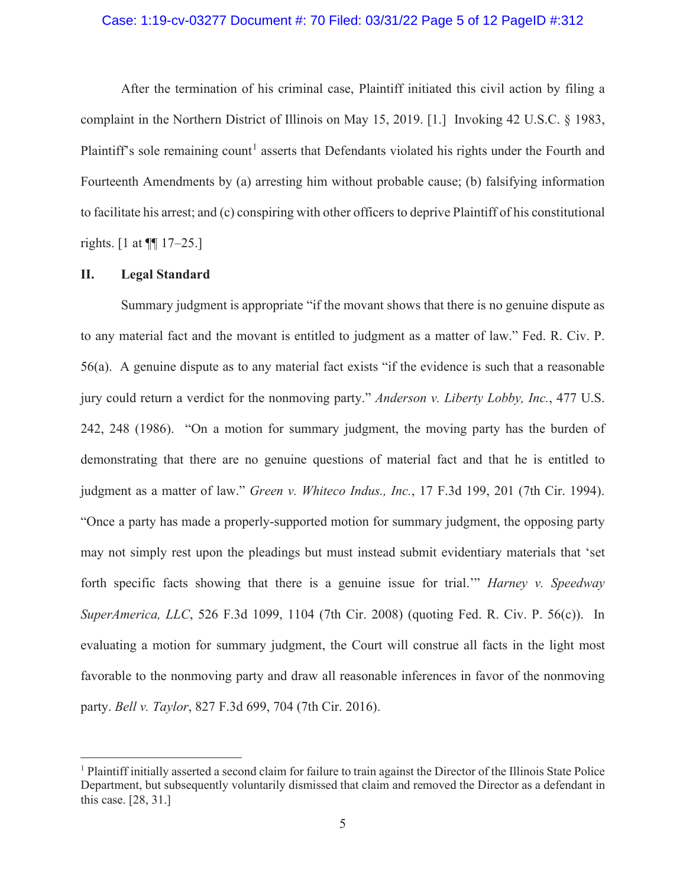### Case: 1:19-cv-03277 Document #: 70 Filed: 03/31/22 Page 5 of 12 PageID #:312

 After the termination of his criminal case, Plaintiff initiated this civil action by filing a complaint in the Northern District of Illinois on May 15, 2019. [1.] Invoking 42 U.S.C. § 1983, Plaintiff's sole remaining count<sup>1</sup> asserts that Defendants violated his rights under the Fourth and Fourteenth Amendments by (a) arresting him without probable cause; (b) falsifying information to facilitate his arrest; and (c) conspiring with other officers to deprive Plaintiff of his constitutional rights. [1 at ¶¶ 17–25.]

### **II. Legal Standard**

Summary judgment is appropriate "if the movant shows that there is no genuine dispute as to any material fact and the movant is entitled to judgment as a matter of law." Fed. R. Civ. P. 56(a). A genuine dispute as to any material fact exists "if the evidence is such that a reasonable jury could return a verdict for the nonmoving party." *Anderson v. Liberty Lobby, Inc.*, 477 U.S. 242, 248 (1986). "On a motion for summary judgment, the moving party has the burden of demonstrating that there are no genuine questions of material fact and that he is entitled to judgment as a matter of law." *Green v. Whiteco Indus., Inc.*, 17 F.3d 199, 201 (7th Cir. 1994). "Once a party has made a properly-supported motion for summary judgment, the opposing party may not simply rest upon the pleadings but must instead submit evidentiary materials that 'set forth specific facts showing that there is a genuine issue for trial.'" *Harney v. Speedway SuperAmerica, LLC*, 526 F.3d 1099, 1104 (7th Cir. 2008) (quoting Fed. R. Civ. P. 56(c)). In evaluating a motion for summary judgment, the Court will construe all facts in the light most favorable to the nonmoving party and draw all reasonable inferences in favor of the nonmoving party. *Bell v. Taylor*, 827 F.3d 699, 704 (7th Cir. 2016).

<sup>&</sup>lt;sup>1</sup> Plaintiff initially asserted a second claim for failure to train against the Director of the Illinois State Police Department, but subsequently voluntarily dismissed that claim and removed the Director as a defendant in this case. [28, 31.]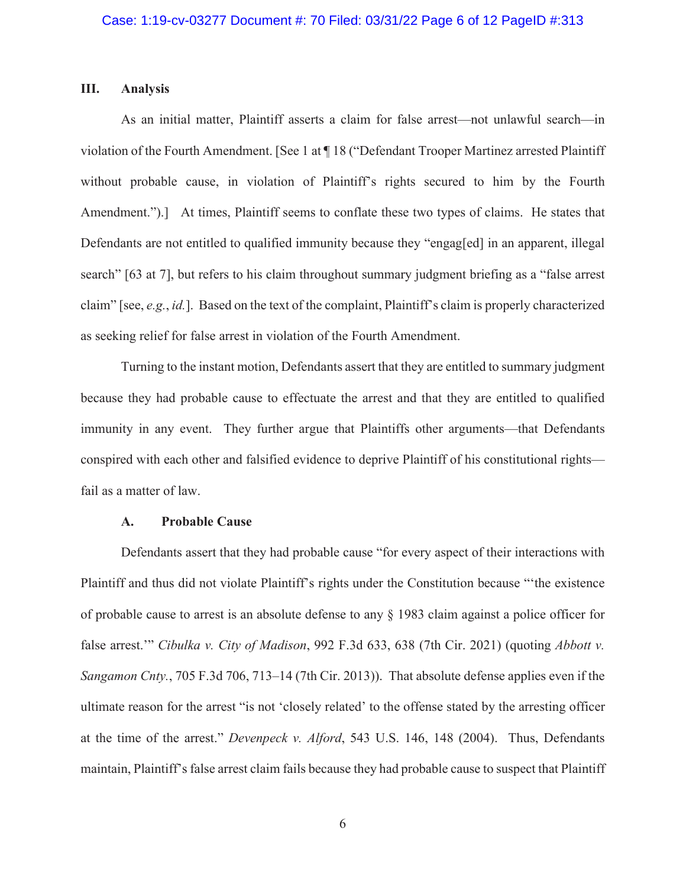## **III. Analysis**

As an initial matter, Plaintiff asserts a claim for false arrest—not unlawful search—in violation of the Fourth Amendment. [See 1 at ¶ 18 ("Defendant Trooper Martinez arrested Plaintiff without probable cause, in violation of Plaintiff's rights secured to him by the Fourth Amendment.").] At times, Plaintiff seems to conflate these two types of claims. He states that Defendants are not entitled to qualified immunity because they "engag[ed] in an apparent, illegal search" [63 at 7], but refers to his claim throughout summary judgment briefing as a "false arrest claim" [see, *e.g.*, *id.*]. Based on the text of the complaint, Plaintiff's claim is properly characterized as seeking relief for false arrest in violation of the Fourth Amendment.

Turning to the instant motion, Defendants assert that they are entitled to summary judgment because they had probable cause to effectuate the arrest and that they are entitled to qualified immunity in any event. They further argue that Plaintiffs other arguments—that Defendants conspired with each other and falsified evidence to deprive Plaintiff of his constitutional rights fail as a matter of law.

#### **A. Probable Cause**

Defendants assert that they had probable cause "for every aspect of their interactions with Plaintiff and thus did not violate Plaintiff's rights under the Constitution because "'the existence of probable cause to arrest is an absolute defense to any § 1983 claim against a police officer for false arrest.'" *Cibulka v. City of Madison*, 992 F.3d 633, 638 (7th Cir. 2021) (quoting *Abbott v. Sangamon Cnty.*, 705 F.3d 706, 713–14 (7th Cir. 2013)). That absolute defense applies even if the ultimate reason for the arrest "is not 'closely related' to the offense stated by the arresting officer at the time of the arrest." *Devenpeck v. Alford*, 543 U.S. 146, 148 (2004). Thus, Defendants maintain, Plaintiff's false arrest claim fails because they had probable cause to suspect that Plaintiff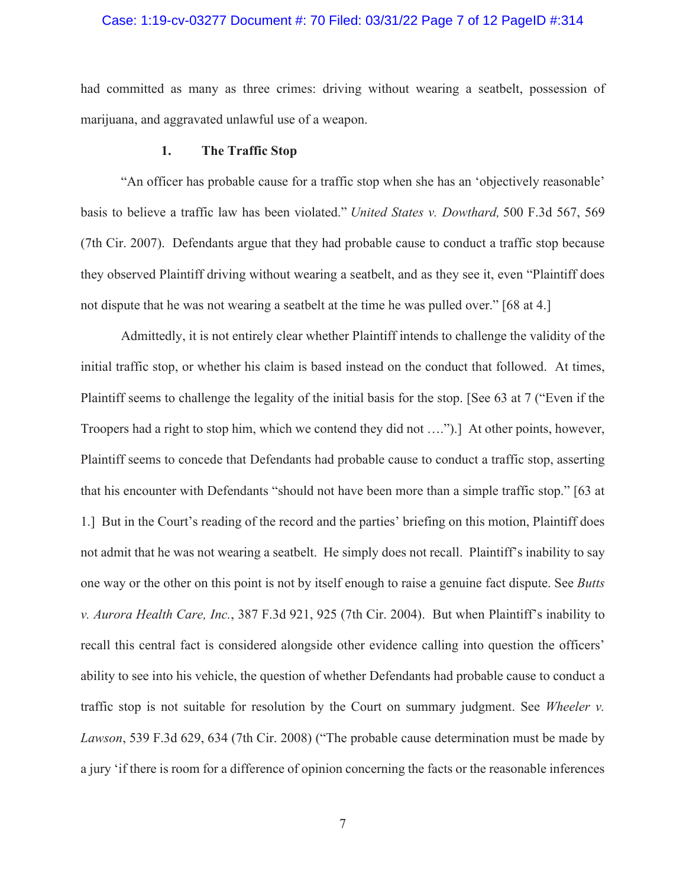#### Case: 1:19-cv-03277 Document #: 70 Filed: 03/31/22 Page 7 of 12 PageID #:314

had committed as many as three crimes: driving without wearing a seatbelt, possession of marijuana, and aggravated unlawful use of a weapon.

## **1. The Traffic Stop**

"An officer has probable cause for a traffic stop when she has an 'objectively reasonable' basis to believe a traffic law has been violated." *United States v. Dowthard,* 500 F.3d 567, 569 (7th Cir. 2007). Defendants argue that they had probable cause to conduct a traffic stop because they observed Plaintiff driving without wearing a seatbelt, and as they see it, even "Plaintiff does not dispute that he was not wearing a seatbelt at the time he was pulled over." [68 at 4.]

Admittedly, it is not entirely clear whether Plaintiff intends to challenge the validity of the initial traffic stop, or whether his claim is based instead on the conduct that followed. At times, Plaintiff seems to challenge the legality of the initial basis for the stop. [See 63 at 7 ("Even if the Troopers had a right to stop him, which we contend they did not ….").] At other points, however, Plaintiff seems to concede that Defendants had probable cause to conduct a traffic stop, asserting that his encounter with Defendants "should not have been more than a simple traffic stop." [63 at 1.] But in the Court's reading of the record and the parties' briefing on this motion, Plaintiff does not admit that he was not wearing a seatbelt. He simply does not recall. Plaintiff's inability to say one way or the other on this point is not by itself enough to raise a genuine fact dispute. See *Butts v. Aurora Health Care, Inc.*, 387 F.3d 921, 925 (7th Cir. 2004). But when Plaintiff's inability to recall this central fact is considered alongside other evidence calling into question the officers' ability to see into his vehicle, the question of whether Defendants had probable cause to conduct a traffic stop is not suitable for resolution by the Court on summary judgment. See *Wheeler v. Lawson*, 539 F.3d 629, 634 (7th Cir. 2008) ("The probable cause determination must be made by a jury 'if there is room for a difference of opinion concerning the facts or the reasonable inferences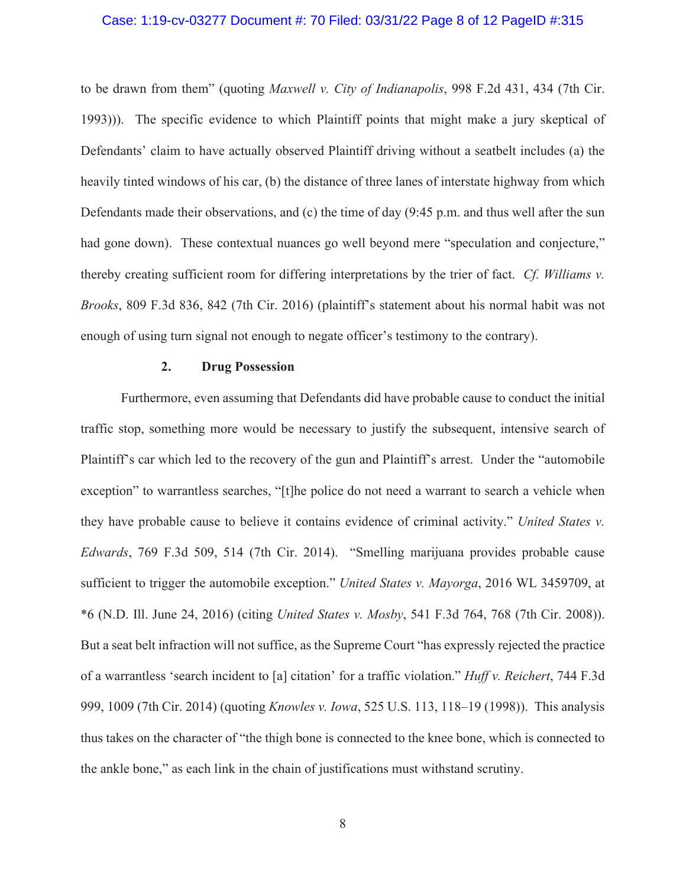#### Case: 1:19-cv-03277 Document #: 70 Filed: 03/31/22 Page 8 of 12 PageID #:315

to be drawn from them" (quoting *Maxwell v. City of Indianapolis*, 998 F.2d 431, 434 (7th Cir. 1993))). The specific evidence to which Plaintiff points that might make a jury skeptical of Defendants' claim to have actually observed Plaintiff driving without a seatbelt includes (a) the heavily tinted windows of his car, (b) the distance of three lanes of interstate highway from which Defendants made their observations, and (c) the time of day (9:45 p.m. and thus well after the sun had gone down). These contextual nuances go well beyond mere "speculation and conjecture," thereby creating sufficient room for differing interpretations by the trier of fact. *Cf. Williams v. Brooks*, 809 F.3d 836, 842 (7th Cir. 2016) (plaintiff's statement about his normal habit was not enough of using turn signal not enough to negate officer's testimony to the contrary).

## **2. Drug Possession**

Furthermore, even assuming that Defendants did have probable cause to conduct the initial traffic stop, something more would be necessary to justify the subsequent, intensive search of Plaintiff's car which led to the recovery of the gun and Plaintiff's arrest. Under the "automobile exception" to warrantless searches, "[t]he police do not need a warrant to search a vehicle when they have probable cause to believe it contains evidence of criminal activity." *United States v. Edwards*, 769 F.3d 509, 514 (7th Cir. 2014). "Smelling marijuana provides probable cause sufficient to trigger the automobile exception." *United States v. Mayorga*, 2016 WL 3459709, at \*6 (N.D. Ill. June 24, 2016) (citing *United States v. Mosby*, 541 F.3d 764, 768 (7th Cir. 2008)). But a seat belt infraction will not suffice, as the Supreme Court "has expressly rejected the practice of a warrantless 'search incident to [a] citation' for a traffic violation." *Huff v. Reichert*, 744 F.3d 999, 1009 (7th Cir. 2014) (quoting *Knowles v. Iowa*, 525 U.S. 113, 118–19 (1998)). This analysis thus takes on the character of "the thigh bone is connected to the knee bone, which is connected to the ankle bone," as each link in the chain of justifications must withstand scrutiny.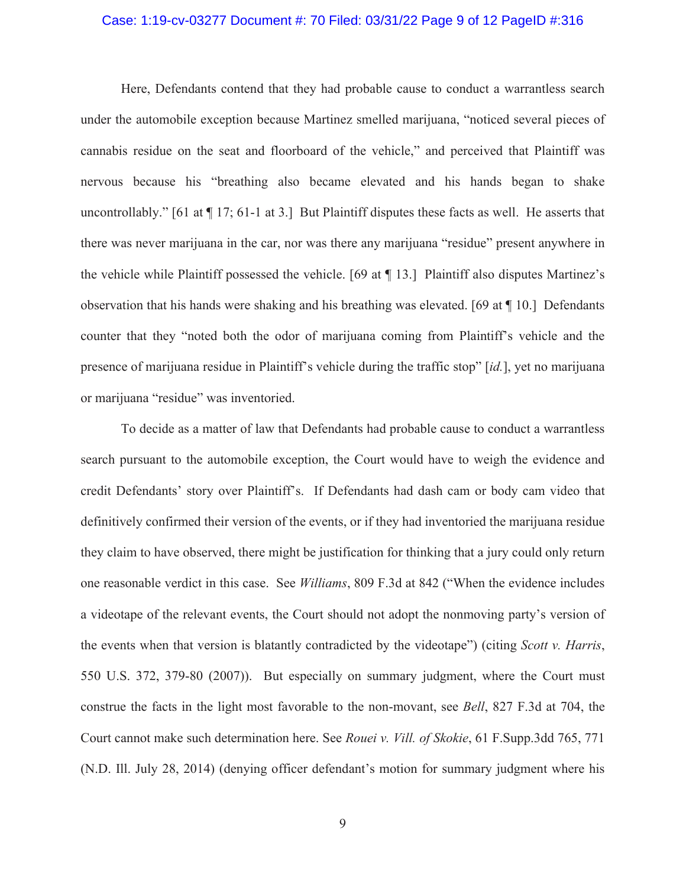#### Case: 1:19-cv-03277 Document #: 70 Filed: 03/31/22 Page 9 of 12 PageID #:316

Here, Defendants contend that they had probable cause to conduct a warrantless search under the automobile exception because Martinez smelled marijuana, "noticed several pieces of cannabis residue on the seat and floorboard of the vehicle," and perceived that Plaintiff was nervous because his "breathing also became elevated and his hands began to shake uncontrollably." [61 at ¶ 17; 61-1 at 3.] But Plaintiff disputes these facts as well. He asserts that there was never marijuana in the car, nor was there any marijuana "residue" present anywhere in the vehicle while Plaintiff possessed the vehicle. [69 at ¶ 13.] Plaintiff also disputes Martinez's observation that his hands were shaking and his breathing was elevated. [69 at ¶ 10.] Defendants counter that they "noted both the odor of marijuana coming from Plaintiff's vehicle and the presence of marijuana residue in Plaintiff's vehicle during the traffic stop" [*id.*], yet no marijuana or marijuana "residue" was inventoried.

To decide as a matter of law that Defendants had probable cause to conduct a warrantless search pursuant to the automobile exception, the Court would have to weigh the evidence and credit Defendants' story over Plaintiff's. If Defendants had dash cam or body cam video that definitively confirmed their version of the events, or if they had inventoried the marijuana residue they claim to have observed, there might be justification for thinking that a jury could only return one reasonable verdict in this case. See *Williams*, 809 F.3d at 842 ("When the evidence includes a videotape of the relevant events, the Court should not adopt the nonmoving party's version of the events when that version is blatantly contradicted by the videotape") (citing *Scott v. Harris*, 550 U.S. 372, 379-80 (2007)). But especially on summary judgment, where the Court must construe the facts in the light most favorable to the non-movant, see *Bell*, 827 F.3d at 704, the Court cannot make such determination here. See *Rouei v. Vill. of Skokie*, 61 F.Supp.3dd 765, 771 (N.D. Ill. July 28, 2014) (denying officer defendant's motion for summary judgment where his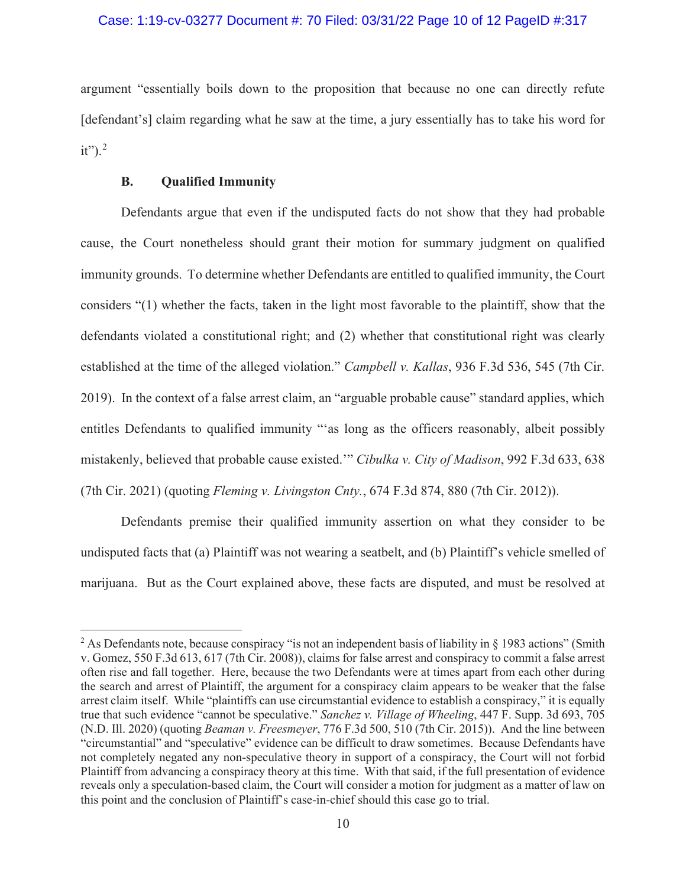## Case: 1:19-cv-03277 Document #: 70 Filed: 03/31/22 Page 10 of 12 PageID #:317

argument "essentially boils down to the proposition that because no one can directly refute [defendant's] claim regarding what he saw at the time, a jury essentially has to take his word for  $it"$ ).<sup>2</sup>

## **B. Qualified Immunity**

Defendants argue that even if the undisputed facts do not show that they had probable cause, the Court nonetheless should grant their motion for summary judgment on qualified immunity grounds. To determine whether Defendants are entitled to qualified immunity, the Court considers "(1) whether the facts, taken in the light most favorable to the plaintiff, show that the defendants violated a constitutional right; and (2) whether that constitutional right was clearly established at the time of the alleged violation." *Campbell v. Kallas*, 936 F.3d 536, 545 (7th Cir. 2019). In the context of a false arrest claim, an "arguable probable cause" standard applies, which entitles Defendants to qualified immunity "'as long as the officers reasonably, albeit possibly mistakenly, believed that probable cause existed.'" *Cibulka v. City of Madison*, 992 F.3d 633, 638 (7th Cir. 2021) (quoting *Fleming v. Livingston Cnty.*, 674 F.3d 874, 880 (7th Cir. 2012)).

Defendants premise their qualified immunity assertion on what they consider to be undisputed facts that (a) Plaintiff was not wearing a seatbelt, and (b) Plaintiff's vehicle smelled of marijuana. But as the Court explained above, these facts are disputed, and must be resolved at

<sup>&</sup>lt;sup>2</sup> As Defendants note, because conspiracy "is not an independent basis of liability in § 1983 actions" (Smith v. Gomez, 550 F.3d 613, 617 (7th Cir. 2008)), claims for false arrest and conspiracy to commit a false arrest often rise and fall together. Here, because the two Defendants were at times apart from each other during the search and arrest of Plaintiff, the argument for a conspiracy claim appears to be weaker that the false arrest claim itself. While "plaintiffs can use circumstantial evidence to establish a conspiracy," it is equally true that such evidence "cannot be speculative." *Sanchez v. Village of Wheeling*, 447 F. Supp. 3d 693, 705 (N.D. Ill. 2020) (quoting *Beaman v. Freesmeyer*, 776 F.3d 500, 510 (7th Cir. 2015)). And the line between "circumstantial" and "speculative" evidence can be difficult to draw sometimes. Because Defendants have not completely negated any non-speculative theory in support of a conspiracy, the Court will not forbid Plaintiff from advancing a conspiracy theory at this time. With that said, if the full presentation of evidence reveals only a speculation-based claim, the Court will consider a motion for judgment as a matter of law on this point and the conclusion of Plaintiff's case-in-chief should this case go to trial.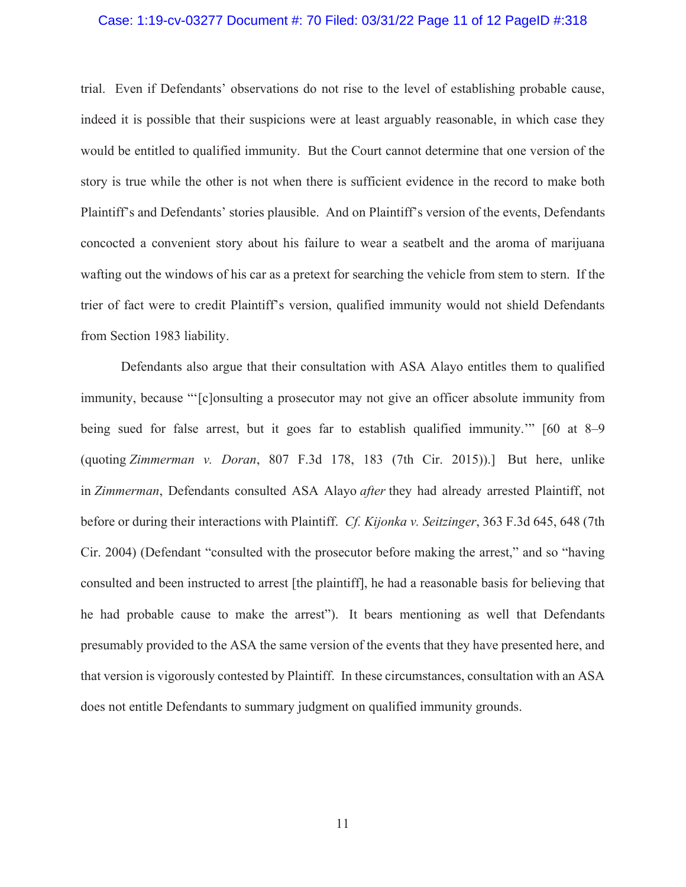#### Case: 1:19-cv-03277 Document #: 70 Filed: 03/31/22 Page 11 of 12 PageID #:318

trial. Even if Defendants' observations do not rise to the level of establishing probable cause, indeed it is possible that their suspicions were at least arguably reasonable, in which case they would be entitled to qualified immunity. But the Court cannot determine that one version of the story is true while the other is not when there is sufficient evidence in the record to make both Plaintiff's and Defendants' stories plausible. And on Plaintiff's version of the events, Defendants concocted a convenient story about his failure to wear a seatbelt and the aroma of marijuana wafting out the windows of his car as a pretext for searching the vehicle from stem to stern. If the trier of fact were to credit Plaintiff's version, qualified immunity would not shield Defendants from Section 1983 liability.

Defendants also argue that their consultation with ASA Alayo entitles them to qualified immunity, because "'[c]onsulting a prosecutor may not give an officer absolute immunity from being sued for false arrest, but it goes far to establish qualified immunity.'" [60 at 8–9 (quoting *Zimmerman v. Doran*, 807 F.3d 178, 183 (7th Cir. 2015)).] But here, unlike in *Zimmerman*, Defendants consulted ASA Alayo *after* they had already arrested Plaintiff, not before or during their interactions with Plaintiff. *Cf. Kijonka v. Seitzinger*, 363 F.3d 645, 648 (7th Cir. 2004) (Defendant "consulted with the prosecutor before making the arrest," and so "having consulted and been instructed to arrest [the plaintiff], he had a reasonable basis for believing that he had probable cause to make the arrest"). It bears mentioning as well that Defendants presumably provided to the ASA the same version of the events that they have presented here, and that version is vigorously contested by Plaintiff. In these circumstances, consultation with an ASA does not entitle Defendants to summary judgment on qualified immunity grounds.